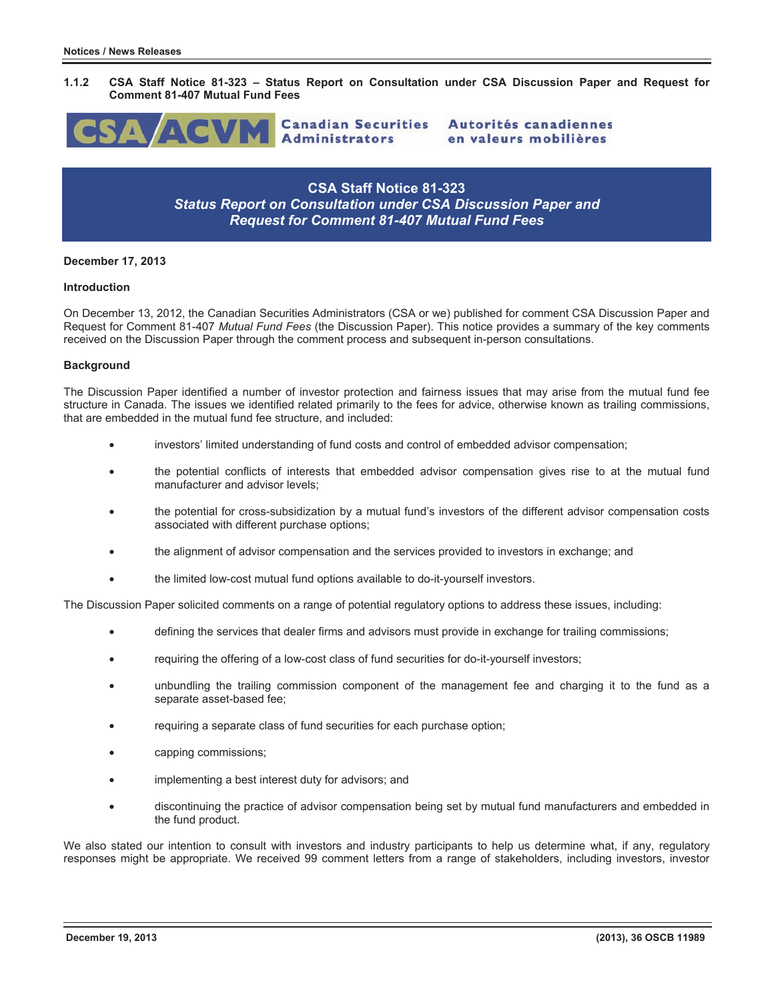



en valeurs mobilières

Autorités canadiennes

**CSA Staff Notice 81-323**  *Status Report on Consultation under CSA Discussion Paper and Request for Comment 81-407 Mutual Fund Fees* 

### **December 17, 2013**

#### **Introduction**

On December 13, 2012, the Canadian Securities Administrators (CSA or we) published for comment CSA Discussion Paper and Request for Comment 81-407 *Mutual Fund Fees* (the Discussion Paper). This notice provides a summary of the key comments received on the Discussion Paper through the comment process and subsequent in-person consultations.

### **Background**

The Discussion Paper identified a number of investor protection and fairness issues that may arise from the mutual fund fee structure in Canada. The issues we identified related primarily to the fees for advice, otherwise known as trailing commissions, that are embedded in the mutual fund fee structure, and included:

- investors' limited understanding of fund costs and control of embedded advisor compensation;
- the potential conflicts of interests that embedded advisor compensation gives rise to at the mutual fund manufacturer and advisor levels;
- the potential for cross-subsidization by a mutual fund's investors of the different advisor compensation costs associated with different purchase options;
- the alignment of advisor compensation and the services provided to investors in exchange; and
- the limited low-cost mutual fund options available to do-it-yourself investors.

The Discussion Paper solicited comments on a range of potential regulatory options to address these issues, including:

- defining the services that dealer firms and advisors must provide in exchange for trailing commissions;
- requiring the offering of a low-cost class of fund securities for do-it-yourself investors;
- unbundling the trailing commission component of the management fee and charging it to the fund as a separate asset-based fee;
- requiring a separate class of fund securities for each purchase option;
- capping commissions;
- implementing a best interest duty for advisors; and
- discontinuing the practice of advisor compensation being set by mutual fund manufacturers and embedded in the fund product.

We also stated our intention to consult with investors and industry participants to help us determine what, if any, regulatory responses might be appropriate. We received 99 comment letters from a range of stakeholders, including investors, investor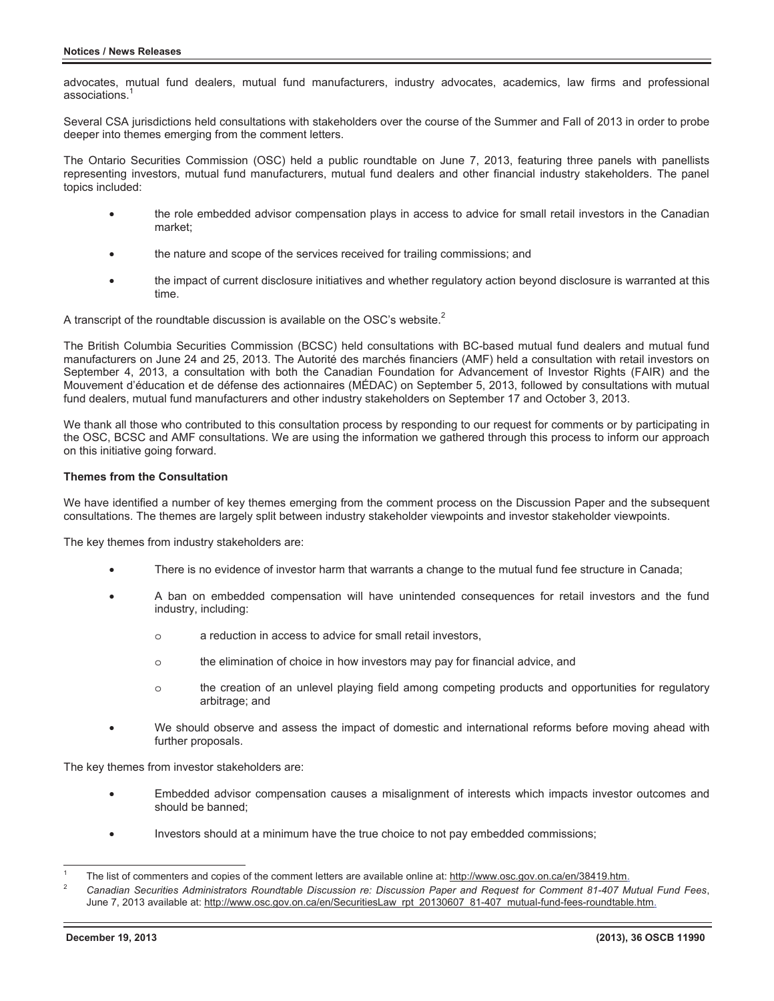advocates, mutual fund dealers, mutual fund manufacturers, industry advocates, academics, law firms and professional associations.<sup>1</sup>

Several CSA jurisdictions held consultations with stakeholders over the course of the Summer and Fall of 2013 in order to probe deeper into themes emerging from the comment letters.

The Ontario Securities Commission (OSC) held a public roundtable on June 7, 2013, featuring three panels with panellists representing investors, mutual fund manufacturers, mutual fund dealers and other financial industry stakeholders. The panel topics included:

- the role embedded advisor compensation plays in access to advice for small retail investors in the Canadian market;
- the nature and scope of the services received for trailing commissions; and
- the impact of current disclosure initiatives and whether regulatory action beyond disclosure is warranted at this time.

A transcript of the roundtable discussion is available on the OSC's website.<sup>2</sup>

The British Columbia Securities Commission (BCSC) held consultations with BC-based mutual fund dealers and mutual fund manufacturers on June 24 and 25, 2013. The Autorité des marchés financiers (AMF) held a consultation with retail investors on September 4, 2013, a consultation with both the Canadian Foundation for Advancement of Investor Rights (FAIR) and the Mouvement d'éducation et de défense des actionnaires (MÉDAC) on September 5, 2013, followed by consultations with mutual fund dealers, mutual fund manufacturers and other industry stakeholders on September 17 and October 3, 2013.

We thank all those who contributed to this consultation process by responding to our request for comments or by participating in the OSC, BCSC and AMF consultations. We are using the information we gathered through this process to inform our approach on this initiative going forward.

### **Themes from the Consultation**

We have identified a number of key themes emerging from the comment process on the Discussion Paper and the subsequent consultations. The themes are largely split between industry stakeholder viewpoints and investor stakeholder viewpoints.

The key themes from industry stakeholders are:

- There is no evidence of investor harm that warrants a change to the mutual fund fee structure in Canada;
- A ban on embedded compensation will have unintended consequences for retail investors and the fund industry, including:
	- o a reduction in access to advice for small retail investors,
	- o the elimination of choice in how investors may pay for financial advice, and
	- o the creation of an unlevel playing field among competing products and opportunities for regulatory arbitrage; and
- We should observe and assess the impact of domestic and international reforms before moving ahead with further proposals.

The key themes from investor stakeholders are:

- Embedded advisor compensation causes a misalignment of interests which impacts investor outcomes and should be banned;
- Investors should at a minimum have the true choice to not pay embedded commissions;

 $\overline{a}$ 1 The list of commenters and copies of the comment letters are available online at: http://www.osc.gov.on.ca/en/38419.htm.

<sup>2</sup> *Canadian Securities Administrators Roundtable Discussion re: Discussion Paper and Request for Comment 81-407 Mutual Fund Fees*, June 7, 2013 available at: http://www.osc.gov.on.ca/en/SecuritiesLaw\_rpt\_20130607\_81-407\_mutual-fund-fees-roundtable.htm.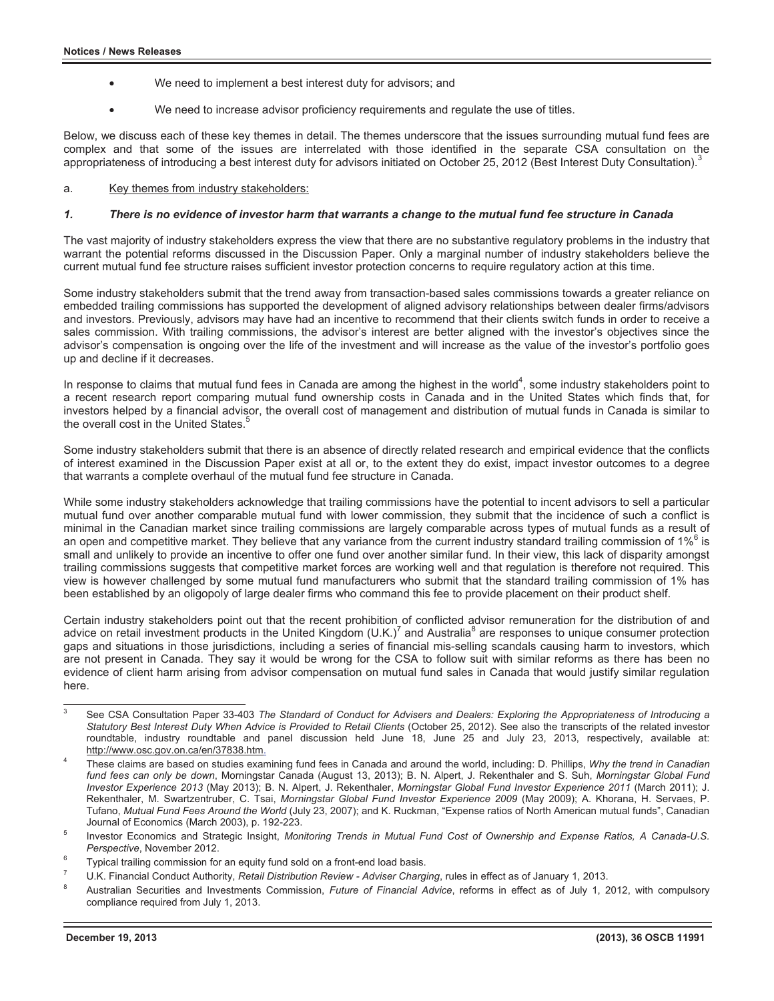- We need to implement a best interest duty for advisors; and
- We need to increase advisor proficiency requirements and regulate the use of titles.

Below, we discuss each of these key themes in detail. The themes underscore that the issues surrounding mutual fund fees are complex and that some of the issues are interrelated with those identified in the separate CSA consultation on the appropriateness of introducing a best interest duty for advisors initiated on October 25, 2012 (Best Interest Duty Consultation).<sup>3</sup>

### a. Key themes from industry stakeholders:

### *1. There is no evidence of investor harm that warrants a change to the mutual fund fee structure in Canada*

The vast majority of industry stakeholders express the view that there are no substantive regulatory problems in the industry that warrant the potential reforms discussed in the Discussion Paper. Only a marginal number of industry stakeholders believe the current mutual fund fee structure raises sufficient investor protection concerns to require regulatory action at this time.

Some industry stakeholders submit that the trend away from transaction-based sales commissions towards a greater reliance on embedded trailing commissions has supported the development of aligned advisory relationships between dealer firms/advisors and investors. Previously, advisors may have had an incentive to recommend that their clients switch funds in order to receive a sales commission. With trailing commissions, the advisor's interest are better aligned with the investor's objectives since the advisor's compensation is ongoing over the life of the investment and will increase as the value of the investor's portfolio goes up and decline if it decreases.

In response to claims that mutual fund fees in Canada are among the highest in the world<sup>4</sup>, some industry stakeholders point to a recent research report comparing mutual fund ownership costs in Canada and in the United States which finds that, for investors helped by a financial advisor, the overall cost of management and distribution of mutual funds in Canada is similar to the overall cost in the United States.<sup>5</sup>

Some industry stakeholders submit that there is an absence of directly related research and empirical evidence that the conflicts of interest examined in the Discussion Paper exist at all or, to the extent they do exist, impact investor outcomes to a degree that warrants a complete overhaul of the mutual fund fee structure in Canada.

While some industry stakeholders acknowledge that trailing commissions have the potential to incent advisors to sell a particular mutual fund over another comparable mutual fund with lower commission, they submit that the incidence of such a conflict is minimal in the Canadian market since trailing commissions are largely comparable across types of mutual funds as a result of an open and competitive market. They believe that any variance from the current industry standard trailing commission of 1%<sup>6</sup> is small and unlikely to provide an incentive to offer one fund over another similar fund. In their view, this lack of disparity amongst trailing commissions suggests that competitive market forces are working well and that regulation is therefore not required. This view is however challenged by some mutual fund manufacturers who submit that the standard trailing commission of 1% has been established by an oligopoly of large dealer firms who command this fee to provide placement on their product shelf.

Certain industry stakeholders point out that the recent prohibition of conflicted advisor remuneration for the distribution of and advice on retail investment products in the United Kingdom (U.K.)<sup>7</sup> and Australia<sup>8</sup> are responses to unique consumer protection gaps and situations in those jurisdictions, including a series of financial mis-selling scandals causing harm to investors, which are not present in Canada. They say it would be wrong for the CSA to follow suit with similar reforms as there has been no evidence of client harm arising from advisor compensation on mutual fund sales in Canada that would justify similar regulation here.

 $\overline{a}$ 3 See CSA Consultation Paper 33-403 *The Standard of Conduct for Advisers and Dealers: Exploring the Appropriateness of Introducing a Statutory Best Interest Duty When Advice is Provided to Retail Clients* (October 25, 2012). See also the transcripts of the related investor roundtable, industry roundtable and panel discussion held June 18, June 25 and July 23, 2013, respectively, available at: http://www.osc.gov.on.ca/en/37838.htm.

<sup>4</sup> These claims are based on studies examining fund fees in Canada and around the world, including: D. Phillips, *Why the trend in Canadian fund fees can only be down*, Morningstar Canada (August 13, 2013); B. N. Alpert, J. Rekenthaler and S. Suh, *Morningstar Global Fund Investor Experience 2013* (May 2013); B. N. Alpert, J. Rekenthaler, *Morningstar Global Fund Investor Experience 2011* (March 2011); J. Rekenthaler, M. Swartzentruber, C. Tsai, *Morningstar Global Fund Investor Experience 2009* (May 2009); A. Khorana, H. Servaes, P. Tufano, *Mutual Fund Fees Around the World* (July 23, 2007); and K. Ruckman, "Expense ratios of North American mutual funds", Canadian Journal of Economics (March 2003), p. 192-223. 5

Investor Economics and Strategic Insight, *Monitoring Trends in Mutual Fund Cost of Ownership and Expense Ratios, A Canada-U.S.*  **Perspective, November 2012.** 

Typical trailing commission for an equity fund sold on a front-end load basis.

<sup>7</sup> U.K. Financial Conduct Authority, *Retail Distribution Review - Adviser Charging*, rules in effect as of January 1, 2013. 8

Australian Securities and Investments Commission, *Future of Financial Advice*, reforms in effect as of July 1, 2012, with compulsory compliance required from July 1, 2013.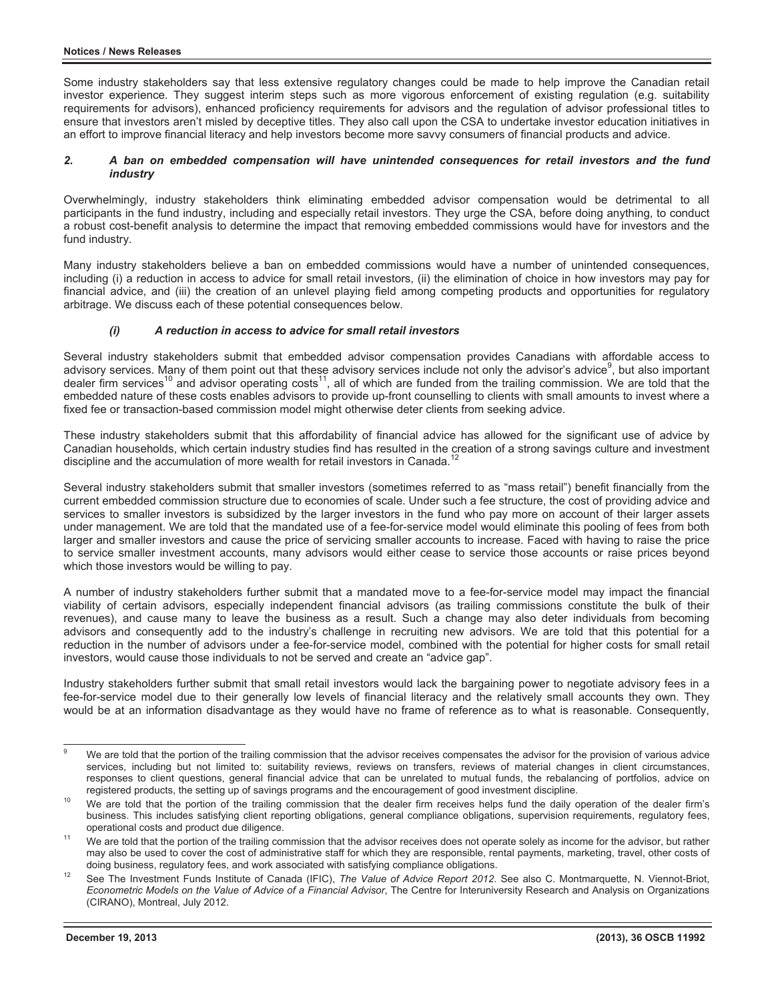Some industry stakeholders say that less extensive regulatory changes could be made to help improve the Canadian retail investor experience. They suggest interim steps such as more vigorous enforcement of existing regulation (e.g. suitability requirements for advisors), enhanced proficiency requirements for advisors and the regulation of advisor professional titles to ensure that investors aren't misled by deceptive titles. They also call upon the CSA to undertake investor education initiatives in an effort to improve financial literacy and help investors become more savvy consumers of financial products and advice.

### *2. A ban on embedded compensation will have unintended consequences for retail investors and the fund industry*

Overwhelmingly, industry stakeholders think eliminating embedded advisor compensation would be detrimental to all participants in the fund industry, including and especially retail investors. They urge the CSA, before doing anything, to conduct a robust cost-benefit analysis to determine the impact that removing embedded commissions would have for investors and the fund industry.

Many industry stakeholders believe a ban on embedded commissions would have a number of unintended consequences, including (i) a reduction in access to advice for small retail investors, (ii) the elimination of choice in how investors may pay for financial advice, and (iii) the creation of an unlevel playing field among competing products and opportunities for regulatory arbitrage. We discuss each of these potential consequences below.

## *(i) A reduction in access to advice for small retail investors*

Several industry stakeholders submit that embedded advisor compensation provides Canadians with affordable access to advisory services. Many of them point out that these advisory services include not only the advisor's advice<sup>9</sup>, but also important dealer firm services<sup>10</sup> and advisor operating costs<sup>11</sup>, all of which are funded from the trailing commission. We are told that the embedded nature of these costs enables advisors to provide up-front counselling to clients with small amounts to invest where a fixed fee or transaction-based commission model might otherwise deter clients from seeking advice.

These industry stakeholders submit that this affordability of financial advice has allowed for the significant use of advice by Canadian households, which certain industry studies find has resulted in the creation of a strong savings culture and investment discipline and the accumulation of more wealth for retail investors in Canada.

Several industry stakeholders submit that smaller investors (sometimes referred to as "mass retail") benefit financially from the current embedded commission structure due to economies of scale. Under such a fee structure, the cost of providing advice and services to smaller investors is subsidized by the larger investors in the fund who pay more on account of their larger assets under management. We are told that the mandated use of a fee-for-service model would eliminate this pooling of fees from both larger and smaller investors and cause the price of servicing smaller accounts to increase. Faced with having to raise the price to service smaller investment accounts, many advisors would either cease to service those accounts or raise prices beyond which those investors would be willing to pay.

A number of industry stakeholders further submit that a mandated move to a fee-for-service model may impact the financial viability of certain advisors, especially independent financial advisors (as trailing commissions constitute the bulk of their revenues), and cause many to leave the business as a result. Such a change may also deter individuals from becoming advisors and consequently add to the industry's challenge in recruiting new advisors. We are told that this potential for a reduction in the number of advisors under a fee-for-service model, combined with the potential for higher costs for small retail investors, would cause those individuals to not be served and create an "advice gap".

Industry stakeholders further submit that small retail investors would lack the bargaining power to negotiate advisory fees in a fee-for-service model due to their generally low levels of financial literacy and the relatively small accounts they own. They would be at an information disadvantage as they would have no frame of reference as to what is reasonable. Consequently,

 $\overline{a}$ 9 We are told that the portion of the trailing commission that the advisor receives compensates the advisor for the provision of various advice services, including but not limited to: suitability reviews, reviews on transfers, reviews of material changes in client circumstances, responses to client questions, general financial advice that can be unrelated to mutual funds, the rebalancing of portfolios, advice on registered products, the setting up of savings programs and the encouragement of good investment discipline.<br><sup>10</sup> We are told that the portion of the trailing commission that the dealer firm receives helps fund the daily o

business. This includes satisfying client reporting obligations, general compliance obligations, supervision requirements, regulatory fees,

We are told that the portion of the trailing commission that the advisor receives does not operate solely as income for the advisor, but rather may also be used to cover the cost of administrative staff for which they are responsible, rental payments, marketing, travel, other costs of

doing business, regulatory fees, and work associated with satisfying compliance obligations.<br>See The Investment Funds Institute of Canada (IFIC), The Value of Advice Report 2012. See also C. Montmarquette, N. Viennot-Briot *Econometric Models on the Value of Advice of a Financial Advisor*, The Centre for Interuniversity Research and Analysis on Organizations (CIRANO), Montreal, July 2012.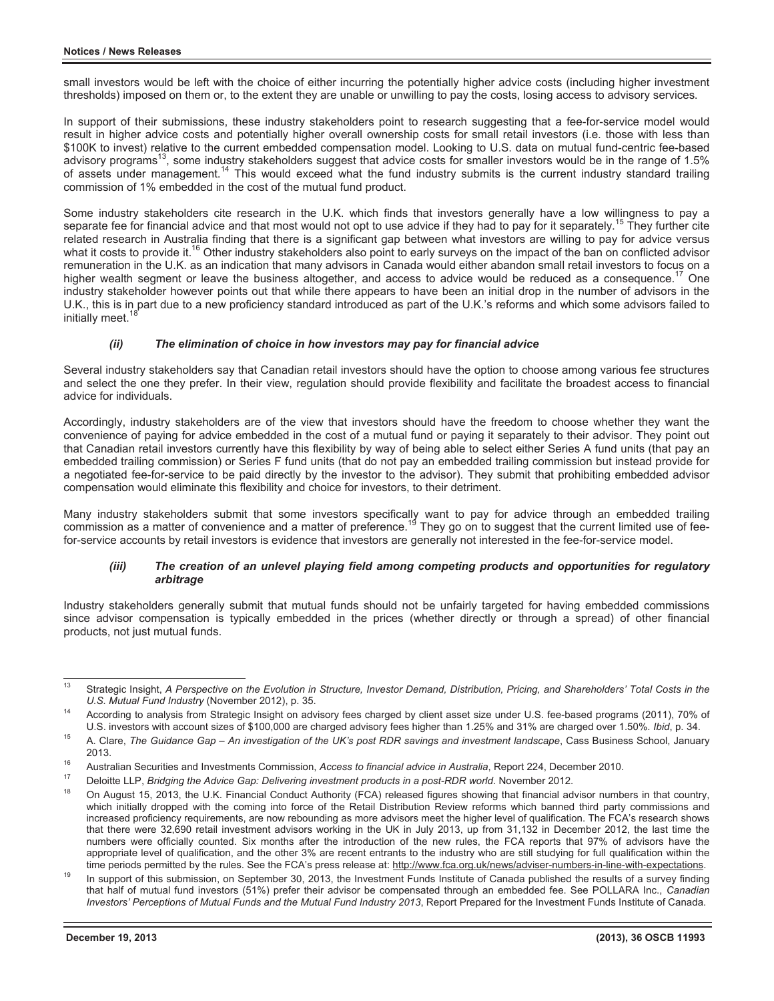small investors would be left with the choice of either incurring the potentially higher advice costs (including higher investment thresholds) imposed on them or, to the extent they are unable or unwilling to pay the costs, losing access to advisory services.

In support of their submissions, these industry stakeholders point to research suggesting that a fee-for-service model would result in higher advice costs and potentially higher overall ownership costs for small retail investors (i.e. those with less than \$100K to invest) relative to the current embedded compensation model. Looking to U.S. data on mutual fund-centric fee-based advisory programs<sup>13</sup>, some industry stakeholders suggest that advice costs for smaller investors would be in the range of 1.5% of assets under management.<sup>14</sup> This would exceed what the fund industry submits is the current industry standard trailing commission of 1% embedded in the cost of the mutual fund product.

Some industry stakeholders cite research in the U.K. which finds that investors generally have a low willingness to pay a separate fee for financial advice and that most would not opt to use advice if they had to pay for it separately.<sup>15</sup> They further cite related research in Australia finding that there is a significant gap between what investors are willing to pay for advice versus what it costs to provide it.<sup>16</sup> Other industry stakeholders also point to early surveys on the impact of the ban on conflicted advisor remuneration in the U.K. as an indication that many advisors in Canada would either abandon small retail investors to focus on a higher wealth segment or leave the business altogether, and access to advice would be reduced as a consequence.<sup>17</sup> One industry stakeholder however points out that while there appears to have been an initial drop in the number of advisors in the U.K., this is in part due to a new proficiency standard introduced as part of the U.K.'s reforms and which some advisors failed to initially meet.

## *(ii) The elimination of choice in how investors may pay for financial advice*

Several industry stakeholders say that Canadian retail investors should have the option to choose among various fee structures and select the one they prefer. In their view, regulation should provide flexibility and facilitate the broadest access to financial advice for individuals.

Accordingly, industry stakeholders are of the view that investors should have the freedom to choose whether they want the convenience of paying for advice embedded in the cost of a mutual fund or paying it separately to their advisor. They point out that Canadian retail investors currently have this flexibility by way of being able to select either Series A fund units (that pay an embedded trailing commission) or Series F fund units (that do not pay an embedded trailing commission but instead provide for a negotiated fee-for-service to be paid directly by the investor to the advisor). They submit that prohibiting embedded advisor compensation would eliminate this flexibility and choice for investors, to their detriment.

Many industry stakeholders submit that some investors specifically want to pay for advice through an embedded trailing commission as a matter of convenience and a matter of preference.<sup>19</sup> They go on to suggest that the current limited use of feefor-service accounts by retail investors is evidence that investors are generally not interested in the fee-for-service model.

## *(iii) The creation of an unlevel playing field among competing products and opportunities for regulatory arbitrage*

Industry stakeholders generally submit that mutual funds should not be unfairly targeted for having embedded commissions since advisor compensation is typically embedded in the prices (whether directly or through a spread) of other financial products, not just mutual funds.

 $13$ Strategic Insight, *A Perspective on the Evolution in Structure, Investor Demand, Distribution, Pricing, and Shareholders' Total Costs in the U.S. Mutual Fund Industry (November 2012), p. 35.* 

<sup>&</sup>lt;sup>14</sup> According to analysis from Strategic Insight on advisory fees charged by client asset size under U.S. fee-based programs (2011), 70% of

U.S. investors with account sizes of \$100,000 are charged advisory fees higher than 1.25% and 31% are charged over 1.50%. Ibid, p. 34.<br><sup>15</sup> A. Clare, *The Guidance Gap – An investigation of the UK's post RDR savings and in* 

<sup>2013.&</sup>lt;br><sup>16</sup> Australian Securities and Investments Commission, Access to financial advice in Australia, Report 224, December 2010.<br><sup>17</sup> Deloitte LLP, *Bridging the Advice Gap: Delivering investment products in a post-RDR wor* which initially dropped with the coming into force of the Retail Distribution Review reforms which banned third party commissions and increased proficiency requirements, are now rebounding as more advisors meet the higher level of qualification. The FCA's research shows that there were 32,690 retail investment advisors working in the UK in July 2013, up from 31,132 in December 2012, the last time the numbers were officially counted. Six months after the introduction of the new rules, the FCA reports that 97% of advisors have the appropriate level of qualification, and the other 3% are recent entrants to the industry who are still studying for full qualification within the

time periods permitted by the rules. See the FCA's press release at: http://www.fca.org.uk/news/adviser-numbers-in-line-with-expectations.<br>In support of this submission, on September 30, 2013, the Investment Funds Institut that half of mutual fund investors (51%) prefer their advisor be compensated through an embedded fee. See POLLARA Inc., *Canadian Investors' Perceptions of Mutual Funds and the Mutual Fund Industry 2013*, Report Prepared for the Investment Funds Institute of Canada.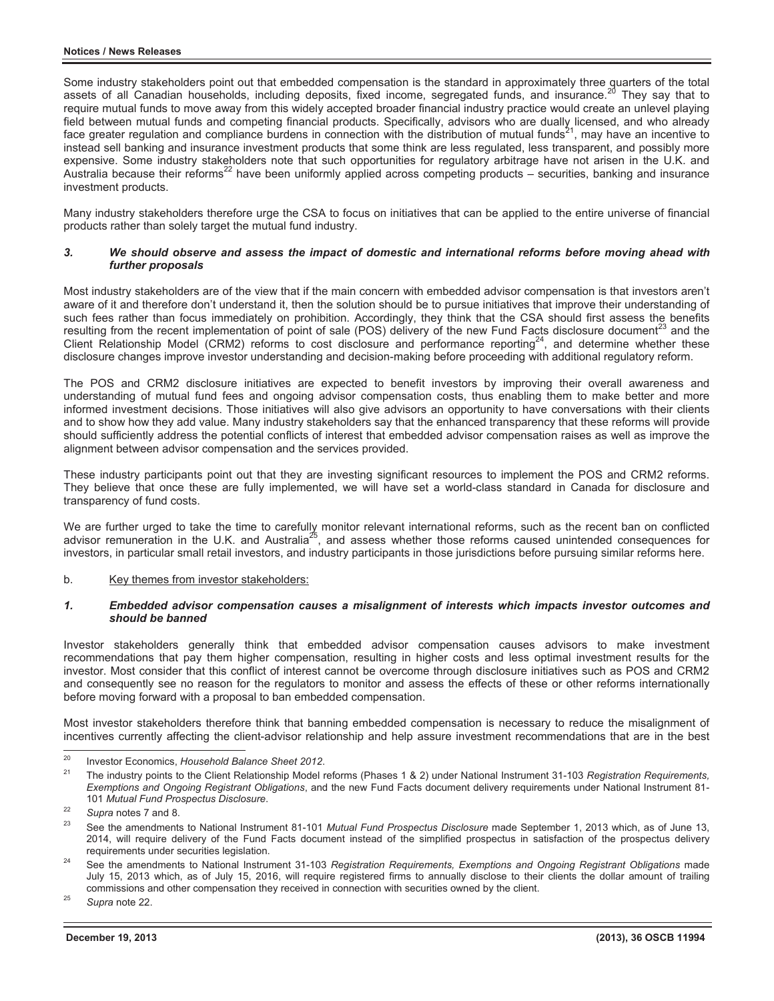Some industry stakeholders point out that embedded compensation is the standard in approximately three quarters of the total assets of all Canadian households, including deposits, fixed income, segregated funds, and insurance.<sup>20</sup> They say that to require mutual funds to move away from this widely accepted broader financial industry practice would create an unlevel playing field between mutual funds and competing financial products. Specifically, advisors who are dually licensed, and who already face greater regulation and compliance burdens in connection with the distribution of mutual funds<sup>21</sup>, may have an incentive to instead sell banking and insurance investment products that some think are less regulated, less transparent, and possibly more expensive. Some industry stakeholders note that such opportunities for regulatory arbitrage have not arisen in the U.K. and Australia because their reforms22 have been uniformly applied across competing products – securities, banking and insurance investment products.

Many industry stakeholders therefore urge the CSA to focus on initiatives that can be applied to the entire universe of financial products rather than solely target the mutual fund industry.

#### *3. We should observe and assess the impact of domestic and international reforms before moving ahead with further proposals*

Most industry stakeholders are of the view that if the main concern with embedded advisor compensation is that investors aren't aware of it and therefore don't understand it, then the solution should be to pursue initiatives that improve their understanding of such fees rather than focus immediately on prohibition. Accordingly, they think that the CSA should first assess the benefits resulting from the recent implementation of point of sale (POS) delivery of the new Fund Facts disclosure document<sup>23</sup> and the Client Relationship Model (CRM2) reforms to cost disclosure and performance reporting<sup>24</sup>, and determine whether these disclosure changes improve investor understanding and decision-making before proceeding with additional regulatory reform.

The POS and CRM2 disclosure initiatives are expected to benefit investors by improving their overall awareness and understanding of mutual fund fees and ongoing advisor compensation costs, thus enabling them to make better and more informed investment decisions. Those initiatives will also give advisors an opportunity to have conversations with their clients and to show how they add value. Many industry stakeholders say that the enhanced transparency that these reforms will provide should sufficiently address the potential conflicts of interest that embedded advisor compensation raises as well as improve the alignment between advisor compensation and the services provided.

These industry participants point out that they are investing significant resources to implement the POS and CRM2 reforms. They believe that once these are fully implemented, we will have set a world-class standard in Canada for disclosure and transparency of fund costs.

We are further urged to take the time to carefully monitor relevant international reforms, such as the recent ban on conflicted advisor remuneration in the U.K. and Australia25, and assess whether those reforms caused unintended consequences for investors, in particular small retail investors, and industry participants in those jurisdictions before pursuing similar reforms here.

## b. Key themes from investor stakeholders:

### *1. Embedded advisor compensation causes a misalignment of interests which impacts investor outcomes and should be banned*

Investor stakeholders generally think that embedded advisor compensation causes advisors to make investment recommendations that pay them higher compensation, resulting in higher costs and less optimal investment results for the investor. Most consider that this conflict of interest cannot be overcome through disclosure initiatives such as POS and CRM2 and consequently see no reason for the regulators to monitor and assess the effects of these or other reforms internationally before moving forward with a proposal to ban embedded compensation.

Most investor stakeholders therefore think that banning embedded compensation is necessary to reduce the misalignment of incentives currently affecting the client-advisor relationship and help assure investment recommendations that are in the best

 $20$ 

<sup>&</sup>lt;sup>20</sup> Investor Economics, *Household Balance Sheet 2012.*<br><sup>21</sup> The industry points to the Client Relationship Model reforms (Phases 1 & 2) under National Instrument 31-103 *Registration Requirements. Exemptions and Ongoing Registrant Obligations*, and the new Fund Facts document delivery requirements under National Instrument 81-

<sup>&</sup>lt;sup>22</sup> Supra notes 7 and 8.<br><sup>23</sup> See the amendments to National Instrument 81-101 *Mutual Fund Prospectus Disclosure* made September 1, 2013 which, as of June 13, 2014, will require delivery of the Fund Facts document instead of the simplified prospectus in satisfaction of the prospectus delivery requirements under securities legislation.<br>See the amendments to National Instrument 31-103 *Registration Requirements, Exemptions and Ongoing Registrant Obligations* made

July 15, 2013 which, as of July 15, 2016, will require registered firms to annually disclose to their clients the dollar amount of trailing commissions and other compensation they received in connection with securities owned by the client. 25 *Supra* note 22.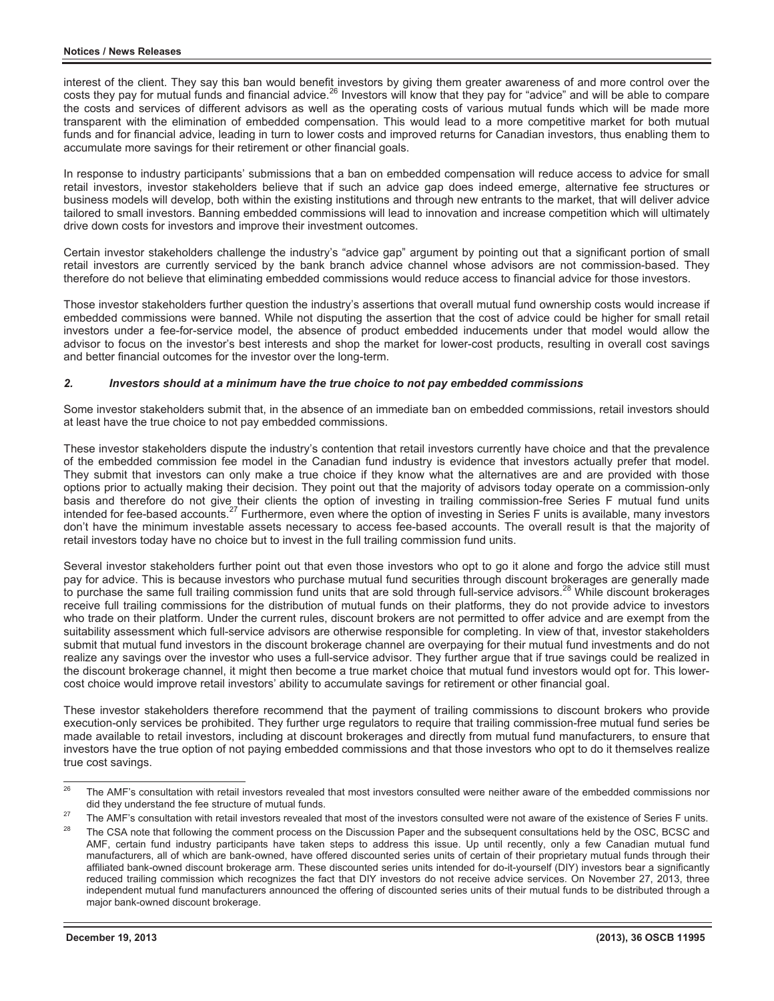interest of the client. They say this ban would benefit investors by giving them greater awareness of and more control over the costs they pay for mutual funds and financial advice.<sup>26</sup> Investors will know that they pay for "advice" and will be able to compare the costs and services of different advisors as well as the operating costs of various mutual funds which will be made more transparent with the elimination of embedded compensation. This would lead to a more competitive market for both mutual funds and for financial advice, leading in turn to lower costs and improved returns for Canadian investors, thus enabling them to accumulate more savings for their retirement or other financial goals.

In response to industry participants' submissions that a ban on embedded compensation will reduce access to advice for small retail investors, investor stakeholders believe that if such an advice gap does indeed emerge, alternative fee structures or business models will develop, both within the existing institutions and through new entrants to the market, that will deliver advice tailored to small investors. Banning embedded commissions will lead to innovation and increase competition which will ultimately drive down costs for investors and improve their investment outcomes.

Certain investor stakeholders challenge the industry's "advice gap" argument by pointing out that a significant portion of small retail investors are currently serviced by the bank branch advice channel whose advisors are not commission-based. They therefore do not believe that eliminating embedded commissions would reduce access to financial advice for those investors.

Those investor stakeholders further question the industry's assertions that overall mutual fund ownership costs would increase if embedded commissions were banned. While not disputing the assertion that the cost of advice could be higher for small retail investors under a fee-for-service model, the absence of product embedded inducements under that model would allow the advisor to focus on the investor's best interests and shop the market for lower-cost products, resulting in overall cost savings and better financial outcomes for the investor over the long-term.

# *2. Investors should at a minimum have the true choice to not pay embedded commissions*

Some investor stakeholders submit that, in the absence of an immediate ban on embedded commissions, retail investors should at least have the true choice to not pay embedded commissions.

These investor stakeholders dispute the industry's contention that retail investors currently have choice and that the prevalence of the embedded commission fee model in the Canadian fund industry is evidence that investors actually prefer that model. They submit that investors can only make a true choice if they know what the alternatives are and are provided with those options prior to actually making their decision. They point out that the majority of advisors today operate on a commission-only basis and therefore do not give their clients the option of investing in trailing commission-free Series F mutual fund units intended for fee-based accounts.<sup>27</sup> Furthermore, even where the option of investing in Series F units is available, many investors don't have the minimum investable assets necessary to access fee-based accounts. The overall result is that the majority of retail investors today have no choice but to invest in the full trailing commission fund units.

Several investor stakeholders further point out that even those investors who opt to go it alone and forgo the advice still must pay for advice. This is because investors who purchase mutual fund securities through discount brokerages are generally made to purchase the same full trailing commission fund units that are sold through full-service advisors.<sup>28</sup> While discount brokerages receive full trailing commissions for the distribution of mutual funds on their platforms, they do not provide advice to investors who trade on their platform. Under the current rules, discount brokers are not permitted to offer advice and are exempt from the suitability assessment which full-service advisors are otherwise responsible for completing. In view of that, investor stakeholders submit that mutual fund investors in the discount brokerage channel are overpaying for their mutual fund investments and do not realize any savings over the investor who uses a full-service advisor. They further argue that if true savings could be realized in the discount brokerage channel, it might then become a true market choice that mutual fund investors would opt for. This lowercost choice would improve retail investors' ability to accumulate savings for retirement or other financial goal.

These investor stakeholders therefore recommend that the payment of trailing commissions to discount brokers who provide execution-only services be prohibited. They further urge regulators to require that trailing commission-free mutual fund series be made available to retail investors, including at discount brokerages and directly from mutual fund manufacturers, to ensure that investors have the true option of not paying embedded commissions and that those investors who opt to do it themselves realize true cost savings.

 $26$ 26 The AMF's consultation with retail investors revealed that most investors consulted were neither aware of the embedded commissions nor

did they understand the fee structure of mutual funds.<br><sup>27</sup> The AMF's consultation with retail investors revealed that most of the investors consulted were not aware of the existence of Series F units.<br><sup>28</sup> The CSA note th

AMF, certain fund industry participants have taken steps to address this issue. Up until recently, only a few Canadian mutual fund manufacturers, all of which are bank-owned, have offered discounted series units of certain of their proprietary mutual funds through their affiliated bank-owned discount brokerage arm. These discounted series units intended for do-it-yourself (DIY) investors bear a significantly reduced trailing commission which recognizes the fact that DIY investors do not receive advice services. On November 27, 2013, three independent mutual fund manufacturers announced the offering of discounted series units of their mutual funds to be distributed through a major bank-owned discount brokerage.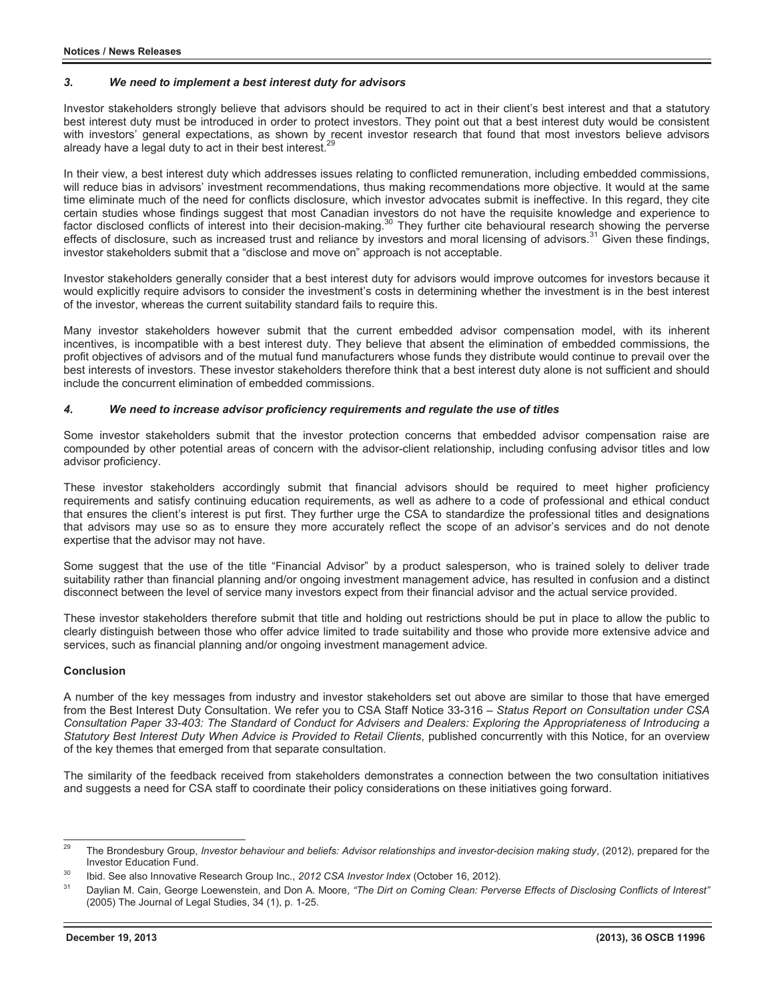### *3. We need to implement a best interest duty for advisors*

Investor stakeholders strongly believe that advisors should be required to act in their client's best interest and that a statutory best interest duty must be introduced in order to protect investors. They point out that a best interest duty would be consistent with investors' general expectations, as shown by recent investor research that found that most investors believe advisors already have a legal duty to act in their best interest.<sup>29</sup>

In their view, a best interest duty which addresses issues relating to conflicted remuneration, including embedded commissions, will reduce bias in advisors' investment recommendations, thus making recommendations more objective. It would at the same time eliminate much of the need for conflicts disclosure, which investor advocates submit is ineffective. In this regard, they cite certain studies whose findings suggest that most Canadian investors do not have the requisite knowledge and experience to factor disclosed conflicts of interest into their decision-making.<sup>30</sup> They further cite behavioural research showing the perverse effects of disclosure, such as increased trust and reliance by investors and moral licensing of advisors.<sup>31</sup> Given these findings, investor stakeholders submit that a "disclose and move on" approach is not acceptable.

Investor stakeholders generally consider that a best interest duty for advisors would improve outcomes for investors because it would explicitly require advisors to consider the investment's costs in determining whether the investment is in the best interest of the investor, whereas the current suitability standard fails to require this.

Many investor stakeholders however submit that the current embedded advisor compensation model, with its inherent incentives, is incompatible with a best interest duty. They believe that absent the elimination of embedded commissions, the profit objectives of advisors and of the mutual fund manufacturers whose funds they distribute would continue to prevail over the best interests of investors. These investor stakeholders therefore think that a best interest duty alone is not sufficient and should include the concurrent elimination of embedded commissions.

## *4. We need to increase advisor proficiency requirements and regulate the use of titles*

Some investor stakeholders submit that the investor protection concerns that embedded advisor compensation raise are compounded by other potential areas of concern with the advisor-client relationship, including confusing advisor titles and low advisor proficiency.

These investor stakeholders accordingly submit that financial advisors should be required to meet higher proficiency requirements and satisfy continuing education requirements, as well as adhere to a code of professional and ethical conduct that ensures the client's interest is put first. They further urge the CSA to standardize the professional titles and designations that advisors may use so as to ensure they more accurately reflect the scope of an advisor's services and do not denote expertise that the advisor may not have.

Some suggest that the use of the title "Financial Advisor" by a product salesperson, who is trained solely to deliver trade suitability rather than financial planning and/or ongoing investment management advice, has resulted in confusion and a distinct disconnect between the level of service many investors expect from their financial advisor and the actual service provided.

These investor stakeholders therefore submit that title and holding out restrictions should be put in place to allow the public to clearly distinguish between those who offer advice limited to trade suitability and those who provide more extensive advice and services, such as financial planning and/or ongoing investment management advice.

## **Conclusion**

A number of the key messages from industry and investor stakeholders set out above are similar to those that have emerged from the Best Interest Duty Consultation. We refer you to CSA Staff Notice 33-316 – *Status Report on Consultation under CSA Consultation Paper 33-403: The Standard of Conduct for Advisers and Dealers: Exploring the Appropriateness of Introducing a Statutory Best Interest Duty When Advice is Provided to Retail Clients*, published concurrently with this Notice, for an overview of the key themes that emerged from that separate consultation.

The similarity of the feedback received from stakeholders demonstrates a connection between the two consultation initiatives and suggests a need for CSA staff to coordinate their policy considerations on these initiatives going forward.

 $29$ The Brondesbury Group, *Investor behaviour and beliefs: Advisor relationships and investor-decision making study*, (2012), prepared for the Investor Education Fund.

<sup>&</sup>lt;sup>30</sup> Ibid. See also Innovative Research Group Inc., 2012 CSA Investor Index (October 16, 2012).<br><sup>31</sup> Daylian M. Cain, George Loewenstein, and Don A. Moore, "The Dirt on Coming Clean: Perverse Effects of Disclosing Conflict (2005) The Journal of Legal Studies, 34 (1), p. 1-25.